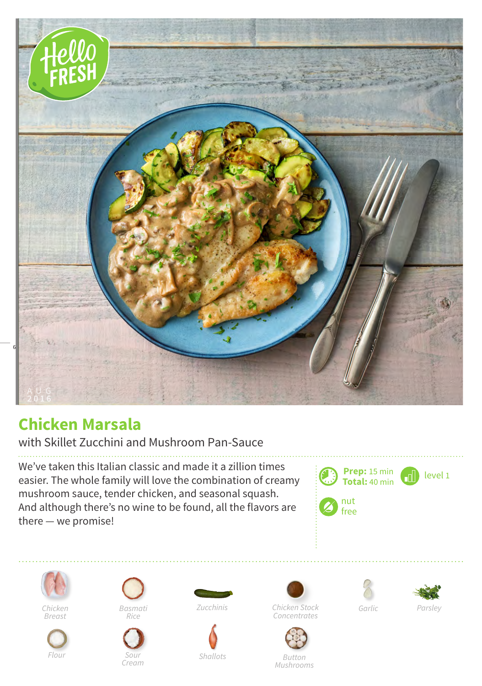

## **Chicken Marsala**

with Skillet Zucchini and Mushroom Pan-Sauce

We've taken this Italian classic and made it a zillion times easier. The whole family will love the combination of creamy mushroom sauce, tender chicken, and seasonal squash. And although there's no wine to be found, all the flavors are there — we promise!





*Chicken Breast*



*Rice*



*Basmati Zucchinis*











*Chicken Stock Concentrates*

*Button Mushrooms*